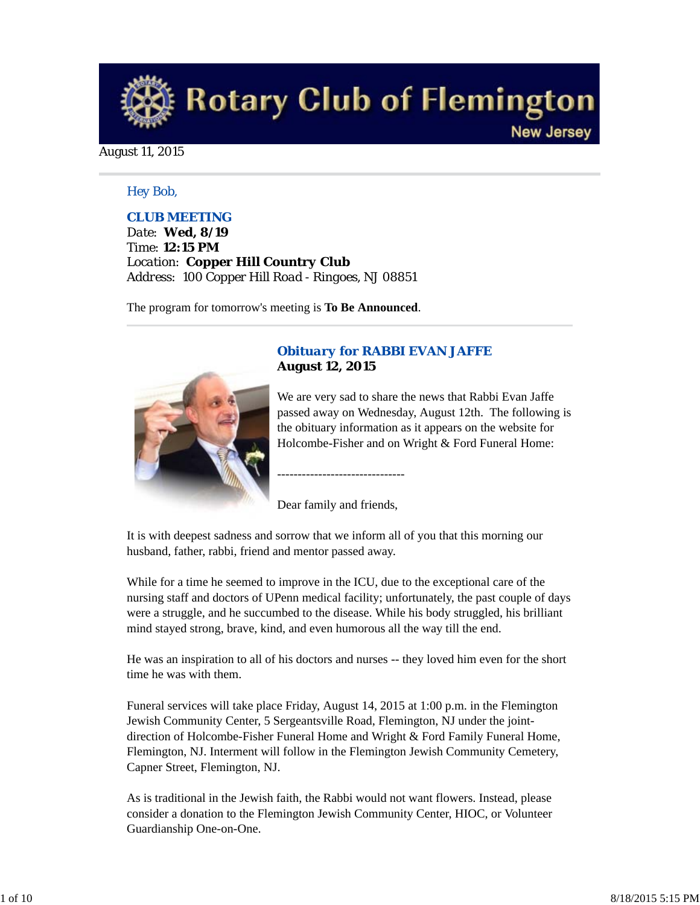

#### August 11, 2015

#### *Hey Bob,*

### *CLUB MEETING*

*Date: Wed, 8/19 Time: 12:15 PM Location: Copper Hill Country Club Address: 100 Copper Hill Road - Ringoes, NJ 08851*

The program for tomorrow's meeting is **To Be Announced**.



# *Obituary for RABBI EVAN JAFFE* **August 12, 2015**

We are very sad to share the news that Rabbi Evan Jaffe passed away on Wednesday, August 12th. The following is the obituary information as it appears on the website for Holcombe-Fisher and on Wright & Ford Funeral Home:

Dear family and friends,

-------------------------------

It is with deepest sadness and sorrow that we inform all of you that this morning our husband, father, rabbi, friend and mentor passed away.

While for a time he seemed to improve in the ICU, due to the exceptional care of the nursing staff and doctors of UPenn medical facility; unfortunately, the past couple of days were a struggle, and he succumbed to the disease. While his body struggled, his brilliant mind stayed strong, brave, kind, and even humorous all the way till the end.

He was an inspiration to all of his doctors and nurses -- they loved him even for the short time he was with them.

Funeral services will take place Friday, August 14, 2015 at 1:00 p.m. in the Flemington Jewish Community Center, 5 Sergeantsville Road, Flemington, NJ under the jointdirection of Holcombe-Fisher Funeral Home and Wright & Ford Family Funeral Home, Flemington, NJ. Interment will follow in the Flemington Jewish Community Cemetery, Capner Street, Flemington, NJ.

As is traditional in the Jewish faith, the Rabbi would not want flowers. Instead, please consider a donation to the Flemington Jewish Community Center, HIOC, or Volunteer Guardianship One-on-One.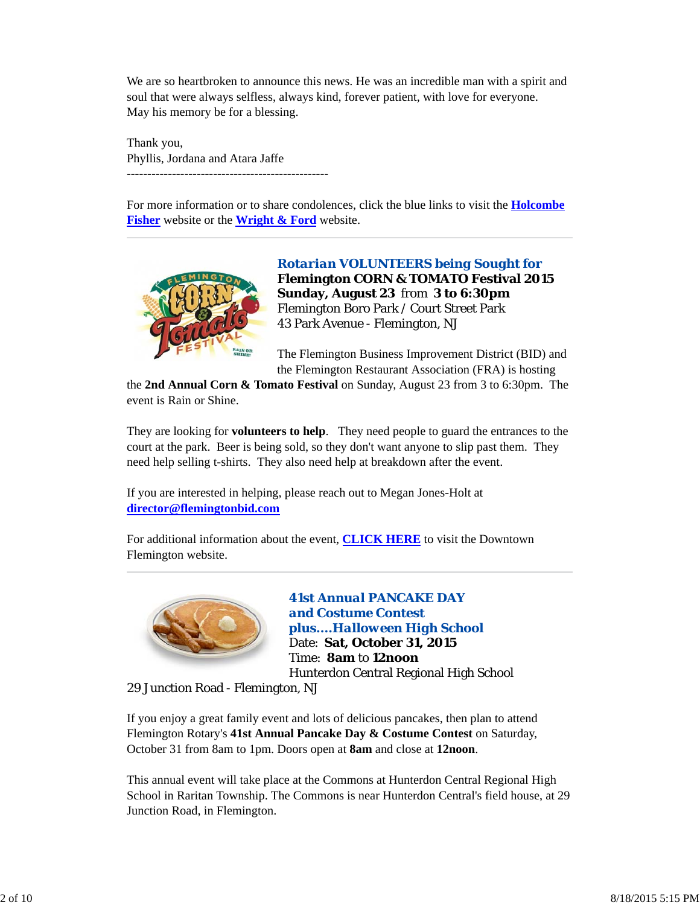We are so heartbroken to announce this news. He was an incredible man with a spirit and soul that were always selfless, always kind, forever patient, with love for everyone. May his memory be for a blessing.

Thank you, Phyllis, Jordana and Atara Jaffe -------------------------------------------------

For more information or to share condolences, click the blue links to visit the **Holcombe Fisher** website or the **Wright & Ford** website.



*Rotarian VOLUNTEERS being Sought for* **Flemington CORN & TOMATO Festival 2015 Sunday, August 23** from **3 to 6:30pm** Flemington Boro Park / Court Street Park 43 Park Avenue - Flemington, NJ

The Flemington Business Improvement District (BID) and the Flemington Restaurant Association (FRA) is hosting

the **2nd Annual Corn & Tomato Festival** on Sunday, August 23 from 3 to 6:30pm. The event is Rain or Shine.

They are looking for **volunteers to help**. They need people to guard the entrances to the court at the park. Beer is being sold, so they don't want anyone to slip past them. They need help selling t-shirts. They also need help at breakdown after the event.

If you are interested in helping, please reach out to Megan Jones-Holt at **director@flemingtonbid.com**

For additional information about the event, **CLICK HERE** to visit the Downtown Flemington website.



*41st Annual PANCAKE DAY and Costume Contest plus....Halloween High School* Date: **Sat, October 31, 2015** Time: **8am** to **12noon** Hunterdon Central Regional High School

29 Junction Road - Flemington, NJ

If you enjoy a great family event and lots of delicious pancakes, then plan to attend Flemington Rotary's **41st Annual Pancake Day & Costume Contest** on Saturday, October 31 from 8am to 1pm. Doors open at **8am** and close at **12noon**.

This annual event will take place at the Commons at Hunterdon Central Regional High School in Raritan Township. The Commons is near Hunterdon Central's field house, at 29 Junction Road, in Flemington.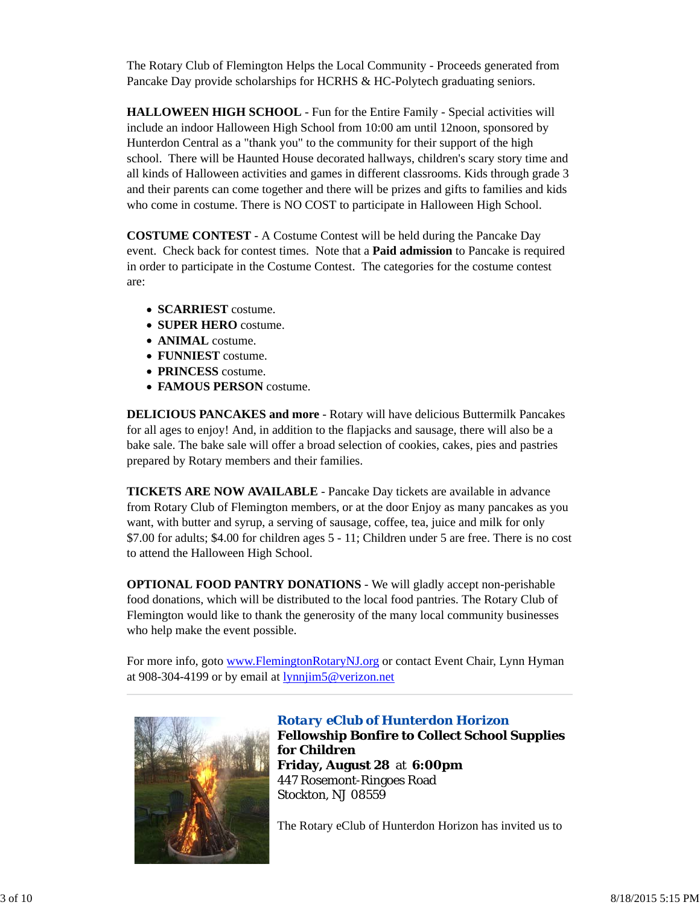The Rotary Club of Flemington Helps the Local Community - Proceeds generated from Pancake Day provide scholarships for HCRHS & HC-Polytech graduating seniors.

**HALLOWEEN HIGH SCHOOL** - Fun for the Entire Family - Special activities will include an indoor Halloween High School from 10:00 am until 12noon, sponsored by Hunterdon Central as a "thank you" to the community for their support of the high school. There will be Haunted House decorated hallways, children's scary story time and all kinds of Halloween activities and games in different classrooms. Kids through grade 3 and their parents can come together and there will be prizes and gifts to families and kids who come in costume. There is NO COST to participate in Halloween High School.

**COSTUME CONTEST** - A Costume Contest will be held during the Pancake Day event. Check back for contest times. Note that a **Paid admission** to Pancake is required in order to participate in the Costume Contest. The categories for the costume contest are:

- **SCARRIEST** costume.
- **SUPER HERO** costume.
- **ANIMAL** costume.
- **FUNNIEST** costume.
- **PRINCESS** costume.
- **FAMOUS PERSON** costume.

**DELICIOUS PANCAKES and more** - Rotary will have delicious Buttermilk Pancakes for all ages to enjoy! And, in addition to the flapjacks and sausage, there will also be a bake sale. The bake sale will offer a broad selection of cookies, cakes, pies and pastries prepared by Rotary members and their families.

**TICKETS ARE NOW AVAILABLE** - Pancake Day tickets are available in advance from Rotary Club of Flemington members, or at the door Enjoy as many pancakes as you want, with butter and syrup, a serving of sausage, coffee, tea, juice and milk for only \$7.00 for adults; \$4.00 for children ages 5 - 11; Children under 5 are free. There is no cost to attend the Halloween High School.

**OPTIONAL FOOD PANTRY DONATIONS** - We will gladly accept non-perishable food donations, which will be distributed to the local food pantries. The Rotary Club of Flemington would like to thank the generosity of the many local community businesses who help make the event possible.

For more info, goto www.FlemingtonRotaryNJ.org or contact Event Chair, Lynn Hyman at 908-304-4199 or by email at lynnjim5@verizon.net



#### *Rotary eClub of Hunterdon Horizon*

**Fellowship Bonfire to Collect School Supplies for Children Friday, August 28** at **6:00pm** 447 Rosemont-Ringoes Road Stockton, NJ 08559

The Rotary eClub of Hunterdon Horizon has invited us to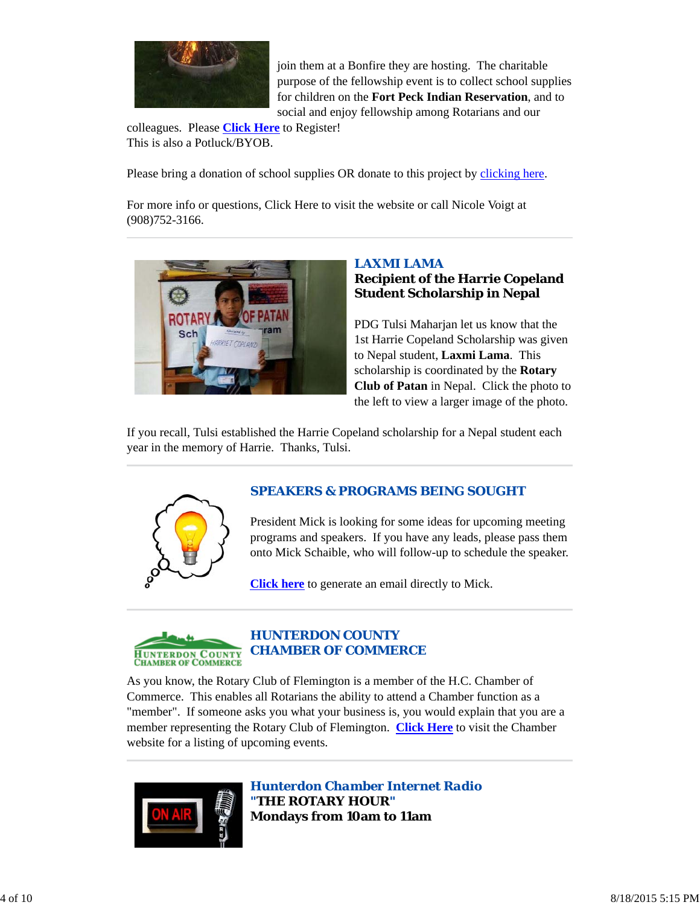

join them at a Bonfire they are hosting. The charitable purpose of the fellowship event is to collect school supplies for children on the **Fort Peck Indian Reservation**, and to social and enjoy fellowship among Rotarians and our

colleagues. Please **Click Here** to Register! This is also a Potluck/BYOB.

Please bring a donation of school supplies OR donate to this project by clicking here.

For more info or questions, Click Here to visit the website or call Nicole Voigt at (908)752-3166.



# *LAXMI LAMA* **Recipient of the Harrie Copeland Student Scholarship in Nepal**

PDG Tulsi Maharjan let us know that the 1st Harrie Copeland Scholarship was given to Nepal student, **Laxmi Lama**. This scholarship is coordinated by the **Rotary Club of Patan** in Nepal. Click the photo to the left to view a larger image of the photo.

If you recall, Tulsi established the Harrie Copeland scholarship for a Nepal student each year in the memory of Harrie. Thanks, Tulsi.



# *SPEAKERS & PROGRAMS BEING SOUGHT*

President Mick is looking for some ideas for upcoming meeting programs and speakers. If you have any leads, please pass them onto Mick Schaible, who will follow-up to schedule the speaker.

**Click here** to generate an email directly to Mick.



# *HUNTERDON COUNTY CHAMBER OF COMMERCE*

As you know, the Rotary Club of Flemington is a member of the H.C. Chamber of Commerce. This enables all Rotarians the ability to attend a Chamber function as a "member". If someone asks you what your business is, you would explain that you are a member representing the Rotary Club of Flemington. **Click Here** to visit the Chamber website for a listing of upcoming events.



*Hunterdon Chamber Internet Radio "THE ROTARY HOUR"* **Mondays from 10am to 11am**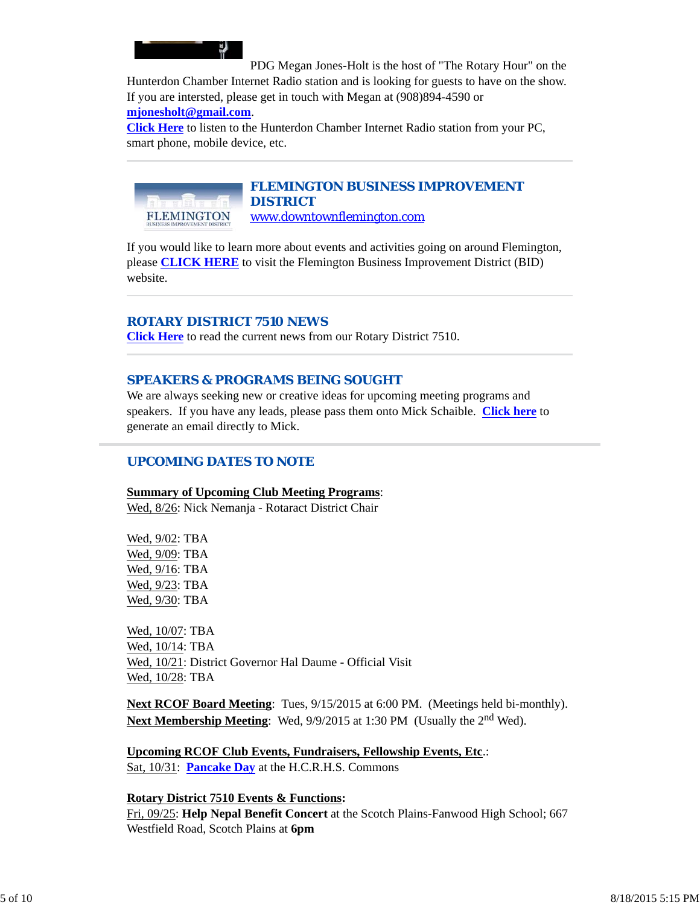

PDG Megan Jones-Holt is the host of "The Rotary Hour" on the Hunterdon Chamber Internet Radio station and is looking for guests to have on the show. If you are intersted, please get in touch with Megan at (908)894-4590 or

## **mjonesholt@gmail.com**.

**Click Here** to listen to the Hunterdon Chamber Internet Radio station from your PC, smart phone, mobile device, etc.

# *FLEMINGTON BUSINESS IMPROVEMENT DISTRICT*

**FLEMINGTON** www.downtownflemington.com

If you would like to learn more about events and activities going on around Flemington, please **CLICK HERE** to visit the Flemington Business Improvement District (BID) website.

## *ROTARY DISTRICT 7510 NEWS*

**Click Here** to read the current news from our Rotary District 7510.

# *SPEAKERS & PROGRAMS BEING SOUGHT*

We are always seeking new or creative ideas for upcoming meeting programs and speakers. If you have any leads, please pass them onto Mick Schaible. **Click here** to generate an email directly to Mick.

# *UPCOMING DATES TO NOTE*

### **Summary of Upcoming Club Meeting Programs**:

Wed, 8/26: Nick Nemanja - Rotaract District Chair

Wed, 9/02: TBA Wed, 9/09: TBA Wed, 9/16: TBA Wed, 9/23: TBA Wed, 9/30: TBA

Wed, 10/07: TBA Wed, 10/14: TBA Wed, 10/21: District Governor Hal Daume - Official Visit Wed, 10/28: TBA

**Next RCOF Board Meeting**: Tues, 9/15/2015 at 6:00 PM. (Meetings held bi-monthly). **Next Membership Meeting**: Wed, 9/9/2015 at 1:30 PM (Usually the 2<sup>nd</sup> Wed).

**Upcoming RCOF Club Events, Fundraisers, Fellowship Events, Etc**.: Sat, 10/31: **Pancake Day** at the H.C.R.H.S. Commons

### **Rotary District 7510 Events & Functions:**

Fri, 09/25: **Help Nepal Benefit Concert** at the Scotch Plains-Fanwood High School; 667 Westfield Road, Scotch Plains at **6pm**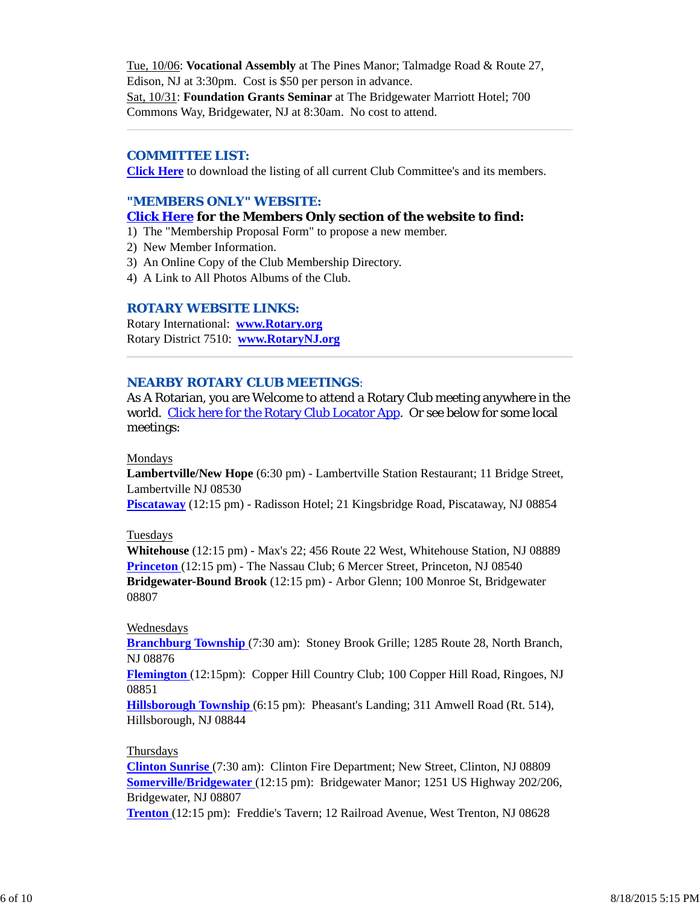Tue, 10/06: **Vocational Assembly** at The Pines Manor; Talmadge Road & Route 27, Edison, NJ at 3:30pm. Cost is \$50 per person in advance. Sat, 10/31: **Foundation Grants Seminar** at The Bridgewater Marriott Hotel; 700 Commons Way, Bridgewater, NJ at 8:30am. No cost to attend.

### *COMMITTEE LIST:*

**Click Here** to download the listing of all current Club Committee's and its members.

#### *"MEMBERS ONLY" WEBSITE:*

#### **Click Here for the Members Only section of the website to find:**

- 1) The "Membership Proposal Form" to propose a new member.
- 2) New Member Information.
- 3) An Online Copy of the Club Membership Directory.
- 4) A Link to All Photos Albums of the Club.

#### *ROTARY WEBSITE LINKS:*

Rotary International: **www.Rotary.org** Rotary District 7510: **www.RotaryNJ.org**

#### *NEARBY ROTARY CLUB MEETINGS:*

As A Rotarian, you are Welcome to attend a Rotary Club meeting anywhere in the world. Click here for the Rotary Club Locator App. Or see below for some local meetings:

#### Mondays

**Lambertville/New Hope** (6:30 pm) - Lambertville Station Restaurant; 11 Bridge Street, Lambertville NJ 08530

**Piscataway** (12:15 pm) - Radisson Hotel; 21 Kingsbridge Road, Piscataway, NJ 08854

#### Tuesdays

**Whitehouse** (12:15 pm) - Max's 22; 456 Route 22 West, Whitehouse Station, NJ 08889 **Princeton** (12:15 pm) - The Nassau Club; 6 Mercer Street, Princeton, NJ 08540 **Bridgewater-Bound Brook** (12:15 pm) - Arbor Glenn; 100 Monroe St, Bridgewater 08807

#### Wednesdays

**Branchburg Township** (7:30 am): Stoney Brook Grille; 1285 Route 28, North Branch, NJ 08876

**Flemington** (12:15pm): Copper Hill Country Club; 100 Copper Hill Road, Ringoes, NJ 08851

**Hillsborough Township** (6:15 pm): Pheasant's Landing; 311 Amwell Road (Rt. 514), Hillsborough, NJ 08844

#### Thursdays

**Clinton Sunrise** (7:30 am): Clinton Fire Department; New Street, Clinton, NJ 08809 **Somerville/Bridgewater** (12:15 pm): Bridgewater Manor; 1251 US Highway 202/206, Bridgewater, NJ 08807

**Trenton** (12:15 pm): Freddie's Tavern; 12 Railroad Avenue, West Trenton, NJ 08628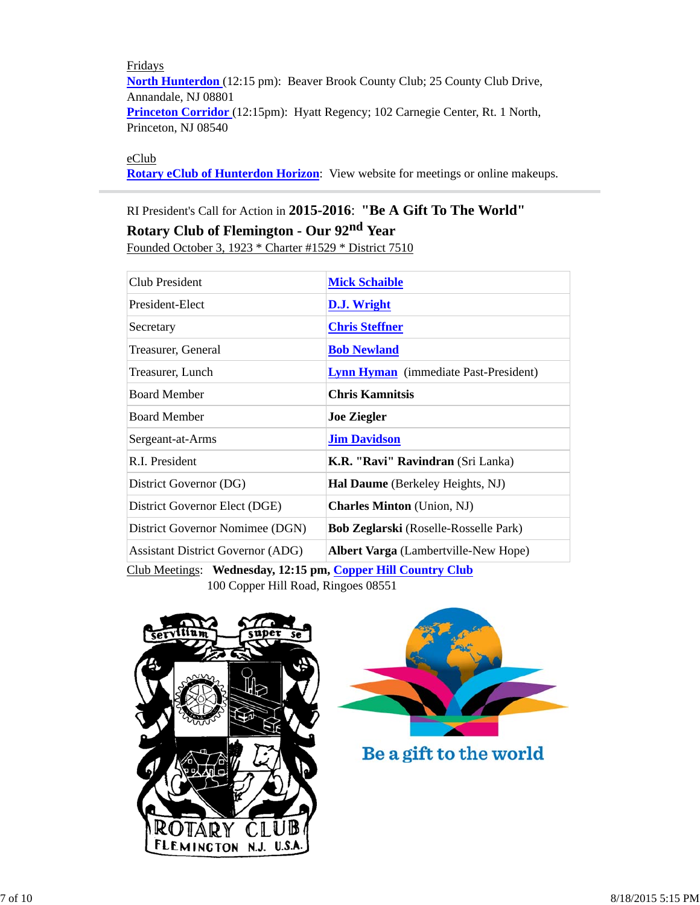Fridays **North Hunterdon** (12:15 pm): Beaver Brook County Club; 25 County Club Drive, Annandale, NJ 08801 **Princeton Corridor** (12:15pm): Hyatt Regency; 102 Carnegie Center, Rt. 1 North, Princeton, NJ 08540

### eClub

**Rotary eClub of Hunterdon Horizon**: View website for meetings or online makeups.

# RI President's Call for Action in **2015-2016**: **"Be A Gift To The World" Rotary Club of Flemington - Our 92nd Year** Founded October 3, 1923 \* Charter #1529 \* District 7510

| Club President                           | <b>Mick Schaible</b>                                   |  |
|------------------------------------------|--------------------------------------------------------|--|
| President-Elect                          | D.J. Wright                                            |  |
| Secretary                                | <b>Chris Steffner</b>                                  |  |
| Treasurer, General                       | <b>Bob Newland</b>                                     |  |
| Treasurer, Lunch                         | <b>Lynn Hyman</b> (immediate Past-President)           |  |
| <b>Board Member</b>                      | <b>Chris Kamnitsis</b>                                 |  |
| <b>Board Member</b>                      | <b>Joe Ziegler</b>                                     |  |
| Sergeant-at-Arms                         | <b>Jim Davidson</b>                                    |  |
| R.I. President                           | K.R. "Ravi" Ravindran (Sri Lanka)                      |  |
| District Governor (DG)                   | Hal Daume (Berkeley Heights, NJ)                       |  |
| District Governor Elect (DGE)            | <b>Charles Minton</b> (Union, NJ)                      |  |
| District Governor Nomimee (DGN)          | <b>Bob Zeglarski</b> (Roselle-Rosselle Park)           |  |
| <b>Assistant District Governor (ADG)</b> | <b>Albert Varga</b> (Lambertville-New Hope)            |  |
| $\alpha$ iin amin'ny iona am             | $TT^{\prime\prime}$ $\alpha$ $\beta$ $\alpha$ $\alpha$ |  |

Club Meetings: **Wednesday, 12:15 pm, Copper Hill Country Club** 100 Copper Hill Road, Ringoes 08551





Be a gift to the world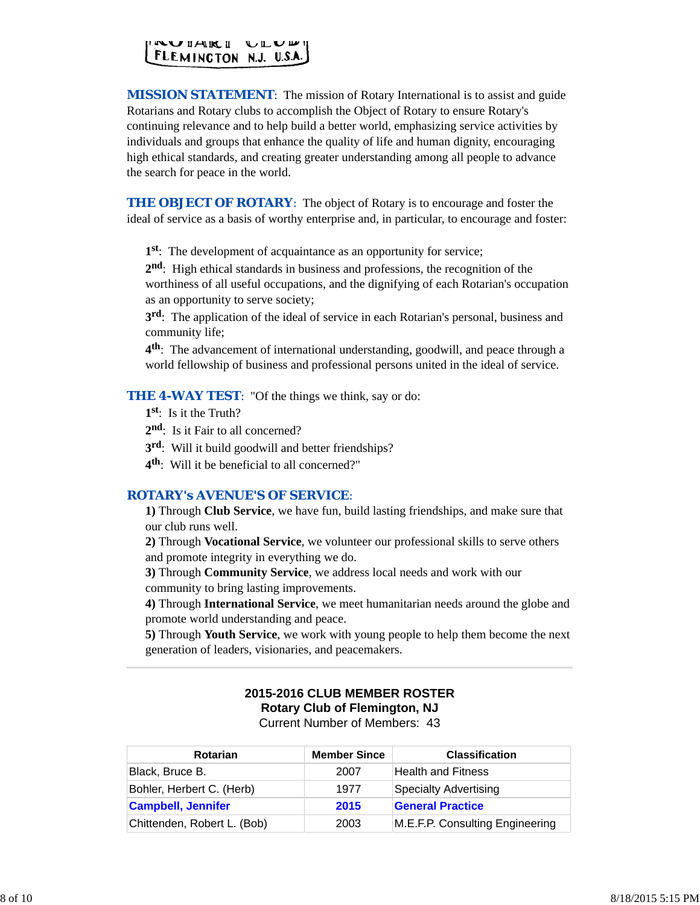

*MISSION STATEMENT*: The mission of Rotary International is to assist and guide Rotarians and Rotary clubs to accomplish the Object of Rotary to ensure Rotary's continuing relevance and to help build a better world, emphasizing service activities by individuals and groups that enhance the quality of life and human dignity, encouraging high ethical standards, and creating greater understanding among all people to advance the search for peace in the world.

**THE OBJECT OF ROTARY:** The object of Rotary is to encourage and foster the ideal of service as a basis of worthy enterprise and, in particular, to encourage and foster:

**1st**: The development of acquaintance as an opportunity for service;

**2nd**: High ethical standards in business and professions, the recognition of the worthiness of all useful occupations, and the dignifying of each Rotarian's occupation as an opportunity to serve society;

**3rd**: The application of the ideal of service in each Rotarian's personal, business and community life;

**4th**: The advancement of international understanding, goodwill, and peace through a world fellowship of business and professional persons united in the ideal of service.

**THE 4-WAY TEST:** "Of the things we think, say or do:

- **1st**: Is it the Truth?
- 2<sup>nd</sup>: Is it Fair to all concerned?
- **3rd**: Will it build goodwill and better friendships?
- **4th**: Will it be beneficial to all concerned?"

#### *ROTARY's AVENUE'S OF SERVICE*:

**1)** Through **Club Service**, we have fun, build lasting friendships, and make sure that our club runs well.

**2)** Through **Vocational Service**, we volunteer our professional skills to serve others and promote integrity in everything we do.

**3)** Through **Community Service**, we address local needs and work with our community to bring lasting improvements.

**4)** Through **International Service**, we meet humanitarian needs around the globe and promote world understanding and peace.

**5)** Through **Youth Service**, we work with young people to help them become the next generation of leaders, visionaries, and peacemakers.

# **2015-2016 CLUB MEMBER ROSTER Rotary Club of Flemington, NJ**

Current Number of Members: 43

| <b>Rotarian</b>             | <b>Member Since</b> | <b>Classification</b>           |
|-----------------------------|---------------------|---------------------------------|
| Black, Bruce B.             | 2007                | <b>Health and Fitness</b>       |
| Bohler, Herbert C. (Herb)   | 1977                | Specialty Advertising           |
| <b>Campbell, Jennifer</b>   | 2015                | <b>General Practice</b>         |
| Chittenden, Robert L. (Bob) | 2003                | M.E.F.P. Consulting Engineering |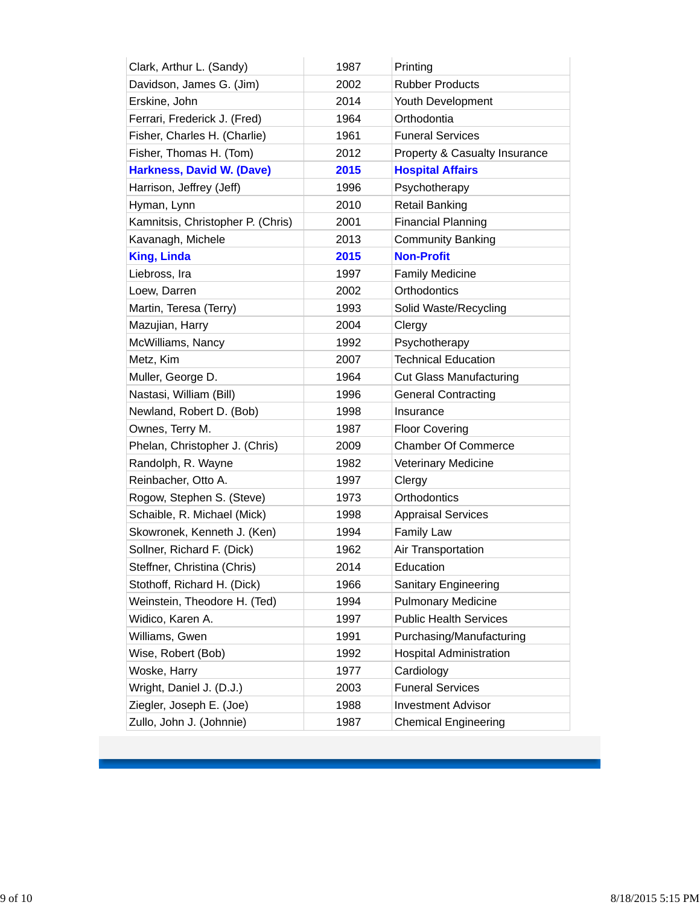| Clark, Arthur L. (Sandy)          | 1987 | Printing                       |
|-----------------------------------|------|--------------------------------|
| Davidson, James G. (Jim)          | 2002 | <b>Rubber Products</b>         |
| Erskine, John                     | 2014 | Youth Development              |
| Ferrari, Frederick J. (Fred)      | 1964 | Orthodontia                    |
| Fisher, Charles H. (Charlie)      | 1961 | <b>Funeral Services</b>        |
| Fisher, Thomas H. (Tom)           | 2012 | Property & Casualty Insurance  |
| <b>Harkness, David W. (Dave)</b>  | 2015 | <b>Hospital Affairs</b>        |
| Harrison, Jeffrey (Jeff)          | 1996 | Psychotherapy                  |
| Hyman, Lynn                       | 2010 | <b>Retail Banking</b>          |
| Kamnitsis, Christopher P. (Chris) | 2001 | <b>Financial Planning</b>      |
| Kavanagh, Michele                 | 2013 | <b>Community Banking</b>       |
| <b>King, Linda</b>                | 2015 | <b>Non-Profit</b>              |
| Liebross, Ira                     | 1997 | <b>Family Medicine</b>         |
| Loew, Darren                      | 2002 | Orthodontics                   |
| Martin, Teresa (Terry)            | 1993 | Solid Waste/Recycling          |
| Mazujian, Harry                   | 2004 | Clergy                         |
| McWilliams, Nancy                 | 1992 | Psychotherapy                  |
| Metz, Kim                         | 2007 | <b>Technical Education</b>     |
| Muller, George D.                 | 1964 | <b>Cut Glass Manufacturing</b> |
| Nastasi, William (Bill)           | 1996 | <b>General Contracting</b>     |
| Newland, Robert D. (Bob)          | 1998 | Insurance                      |
| Ownes, Terry M.                   | 1987 | <b>Floor Covering</b>          |
| Phelan, Christopher J. (Chris)    | 2009 | <b>Chamber Of Commerce</b>     |
| Randolph, R. Wayne                | 1982 | <b>Veterinary Medicine</b>     |
| Reinbacher, Otto A.               | 1997 | Clergy                         |
| Rogow, Stephen S. (Steve)         | 1973 | Orthodontics                   |
| Schaible, R. Michael (Mick)       | 1998 | <b>Appraisal Services</b>      |
| Skowronek, Kenneth J. (Ken)       | 1994 | <b>Family Law</b>              |
| Sollner, Richard F. (Dick)        | 1962 | Air Transportation             |
| Steffner, Christina (Chris)       | 2014 | Education                      |
| Stothoff, Richard H. (Dick)       | 1966 | <b>Sanitary Engineering</b>    |
| Weinstein, Theodore H. (Ted)      | 1994 | <b>Pulmonary Medicine</b>      |
| Widico, Karen A.                  | 1997 | <b>Public Health Services</b>  |
| Williams, Gwen                    | 1991 | Purchasing/Manufacturing       |
| Wise, Robert (Bob)                | 1992 | <b>Hospital Administration</b> |
| Woske, Harry                      | 1977 | Cardiology                     |
| Wright, Daniel J. (D.J.)          | 2003 | <b>Funeral Services</b>        |
| Ziegler, Joseph E. (Joe)          | 1988 | <b>Investment Advisor</b>      |
| Zullo, John J. (Johnnie)          | 1987 | <b>Chemical Engineering</b>    |